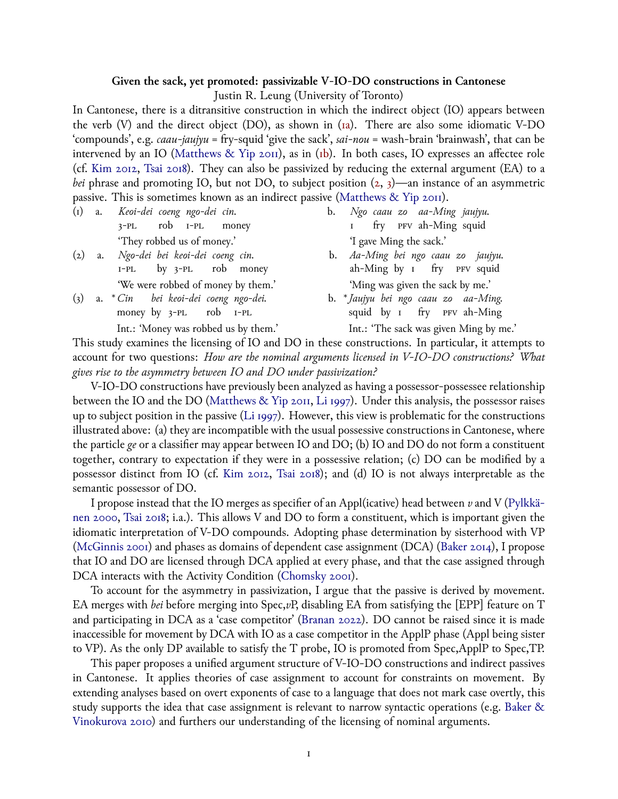## **Given the sack, yet promoted: passivizable V-IO-DO constructions in Cantonese**

Justin R. Leung (University of Toronto)

<span id="page-0-0"></span>In Cantonese, there is a ditransitive construction in which the indirect object (IO) appears between the verb (V) and the direct object (DO), as shown in [\(1a\)](#page-0-0). There are also some idiomatic V-DO 'compounds', e.g. *caau-jaujyu* = fry-squid 'give the sack', *sai-nou* = wash-brain 'brainwash', that can be intervened by an IO [\(Matthews & Yip 2011\)](#page-1-0), as in [\(1b\)](#page-0-0). In both cases, IO expresses an affectee role (cf. [Kim 2012,](#page-1-1) [Tsai 2018](#page-1-2)). They can also be passivized by reducing the external argument (EA) to a *bei* phrase and promoting IO, but not DO, to subject position  $(2, 3)$  $(2, 3)$  $(2, 3)$ —an instance of an asymmetric passive. This is sometimes known as an indirect passive [\(Matthews & Yip 2011\)](#page-1-0).

(1) a. *Keoi-dei coeng ngo-dei cin.* 3-PL rob 1-PL money 'They robbed us of money.'

- (2) a. *Ngo-dei bei keoi-dei coeng cin.* 1-PL by 3-PL rob money 'We were robbed of money by them.'
- (3) a. \**Cin* money by 3-PL *bei keoi-dei coeng ngo-dei.* rob 1-PL Int.: 'Money was robbed us by them.'

b. *Ngo caau zo aa-Ming jaujyu.* 1 fry PFV ah-Ming squid 'I gave Ming the sack.'

- b. *Aa-Ming bei ngo caau zo jaujyu.* ah-Ming by 1 fry PFV squid 'Ming was given the sack by me.'
- b. \**Jaujyu bei ngo caau zo aa-Ming.* squid by 1 fry PFV ah-Ming Int.: 'The sack was given Ming by me.'

This study examines the licensing of IO and DO in these constructions. In particular, it attempts to account for two questions: *How are the nominal arguments licensed in V-IO-DO constructions? What gives rise to the asymmetry between IO and DO under passivization?*

V-IO-DO constructions have previously been analyzed as having a possessor-possessee relationship between the IO and the DO([Matthews & Yip 2011,](#page-1-0) [Li 1997](#page-1-3)). Under this analysis, the possessor raises up to subject position in the passive [\(Li 1997](#page-1-3)). However, this view is problematic for the constructions illustrated above: (a) they are incompatible with the usual possessive constructions in Cantonese, where the particle *ge* or a classifier may appear between IO and DO; (b) IO and DO do not form a constituent together, contrary to expectation if they were in a possessive relation; (c) DO can be modified by a possessor distinct from IO (cf. [Kim 2012,](#page-1-1) [Tsai 2018](#page-1-2)); and (d) IO is not always interpretable as the semantic possessor of DO.

I propose instead that the IO merges as specifier of an Appl(icative) head between *v* and V([Pylkkä](#page-1-4)[nen 2000](#page-1-4), [Tsai 2018](#page-1-2); i.a.). This allows V and DO to form a constituent, which is important given the idiomatic interpretation of V-DO compounds. Adopting phase determination by sisterhood with VP ([McGinnis 2001\)](#page-1-5) and phases as domains of dependent case assignment (DCA)([Baker 2014](#page-1-6)), I propose that IO and DO are licensed through DCA applied at every phase, and that the case assigned through DCA interacts with the Activity Condition([Chomsky 2001](#page-1-7)).

To account for the asymmetry in passivization, I argue that the passive is derived by movement. EA merges with *bei* before merging into Spec,*v*P, disabling EA from satisfying the [EPP] feature on T and participating in DCA as a 'case competitor'([Branan 2022](#page-1-8)). DO cannot be raised since it is made inaccessible for movement by DCA with IO as a case competitor in the ApplP phase (Appl being sister to VP). As the only DP available to satisfy the T probe, IO is promoted from Spec,ApplP to Spec,TP.

This paper proposes a unified argument structure of V-IO-DO constructions and indirect passives in Cantonese. It applies theories of case assignment to account for constraints on movement. By extending analyses based on overt exponents of case to a language that does not mark case overtly, this study supports the idea that case assignment is relevant to narrow syntactic operations (e.g. [Baker &](#page-1-9) [Vinokurova 2010](#page-1-9)) and furthers our understanding of the licensing of nominal arguments.